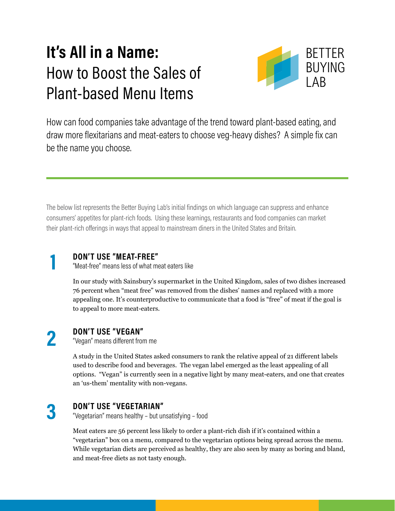## **It's All in a Name:**  How to Boost the Sales of Plant-based Menu Items



How can food companies take advantage of the trend toward plant-based eating, and draw more flexitarians and meat-eaters to choose veg-heavy dishes? A simple fix can be the name you choose.

The below list represents the Better Buying Lab's initial findings on which language can suppress and enhance consumers' appetites for plant-rich foods. Using these learnings, restaurants and food companies can market their plant-rich offerings in ways that appeal to mainstream diners in the United States and Britain.

**DON'T USE "MEAT-FREE"**

"Meat-free" means less of what meat eaters like

In our study with Sainsbury's supermarket in the United Kingdom, sales of two dishes increased 76 percent when "meat free" was removed from the dishes' names and replaced with a more appealing one. It's counterproductive to communicate that a food is "free" of meat if the goal is to appeal to more meat-eaters.

## **2**

**1**

### **DON'T USE "VEGAN"**

"Vegan" means different from me

A [study](https://morningconsult.com/form/words-consumers-like-on-food-labels/) in the United States asked consumers to rank the relative appeal of 21 different labels used to describe food and beverages. The vegan label emerged as the least appealing of all options. "Vegan" is currently seen in a negative light by many meat-eaters, and one that creates an 'us-them' mentality with non-vegans.

# **3**

### **DON'T USE "VEGETARIAN"**

"Vegetarian" means healthy – but unsatisfying – food

Meat eaters are [56 percent less likely](https://www.wri.org/blog/2017/06/dont-put-vegetables-corner-qa-behavioral-science-researcher-linda-bacon) to order a plant-rich dish if it's contained within a "vegetarian" box on a menu, compared to the vegetarian options being spread across the menu. While vegetarian diets are perceived [as healthy,](https://www.ncbi.nlm.nih.gov/pubmed/11562154) they are also seen by many as [boring and bland](https://www.ncbi.nlm.nih.gov/pubmed/11237348), and meat-free diets as [not tasty enough](https://www.ncbi.nlm.nih.gov/pubmed/16278691).